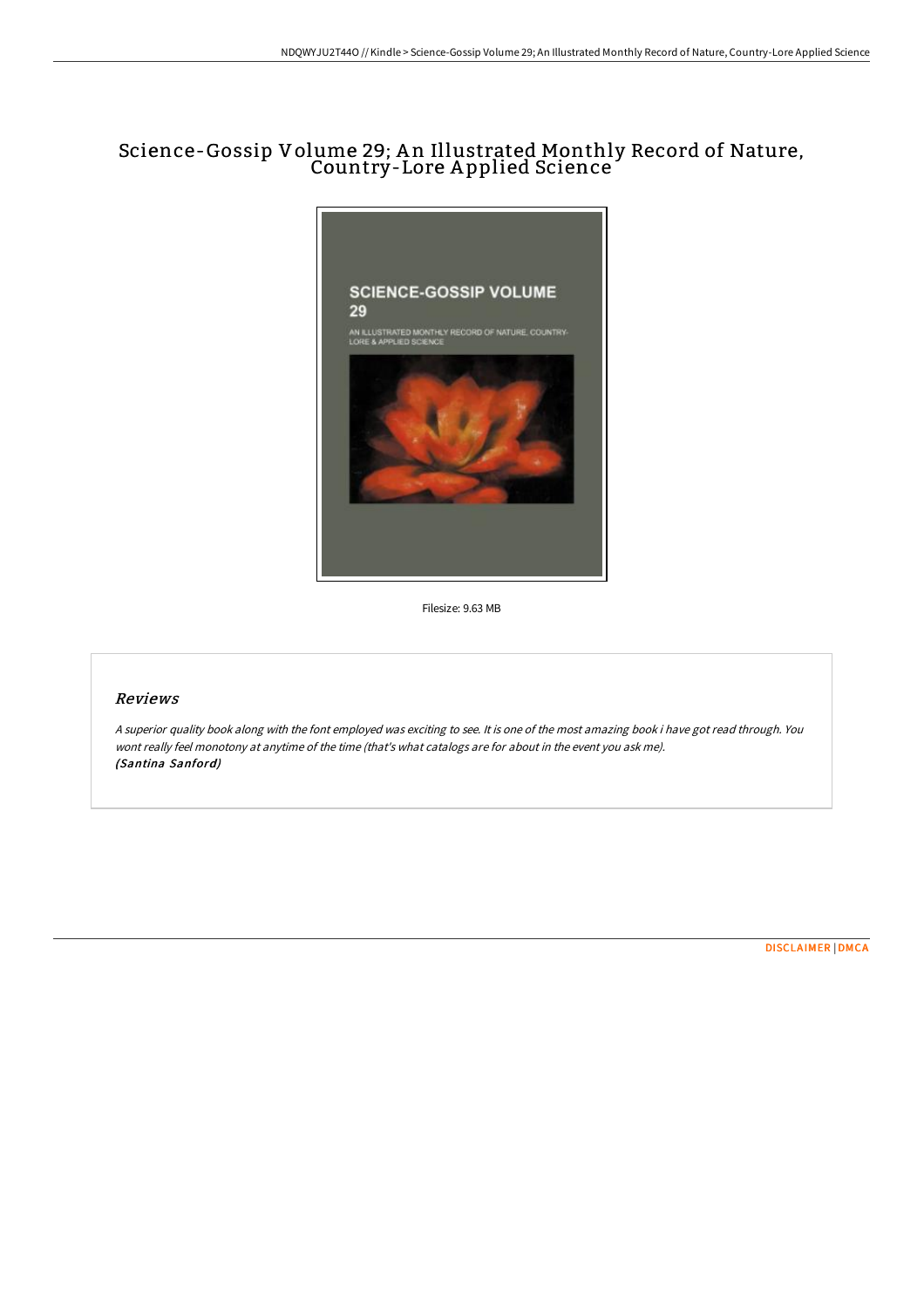# Science-Gossip Volume 29; A n Illustrated Monthly Record of Nature, Country-Lore A pplied Science



Filesize: 9.63 MB

# Reviews

<sup>A</sup> superior quality book along with the font employed was exciting to see. It is one of the most amazing book i have got read through. You wont really feel monotony at anytime of the time (that's what catalogs are for about in the event you ask me). (Santina Sanford)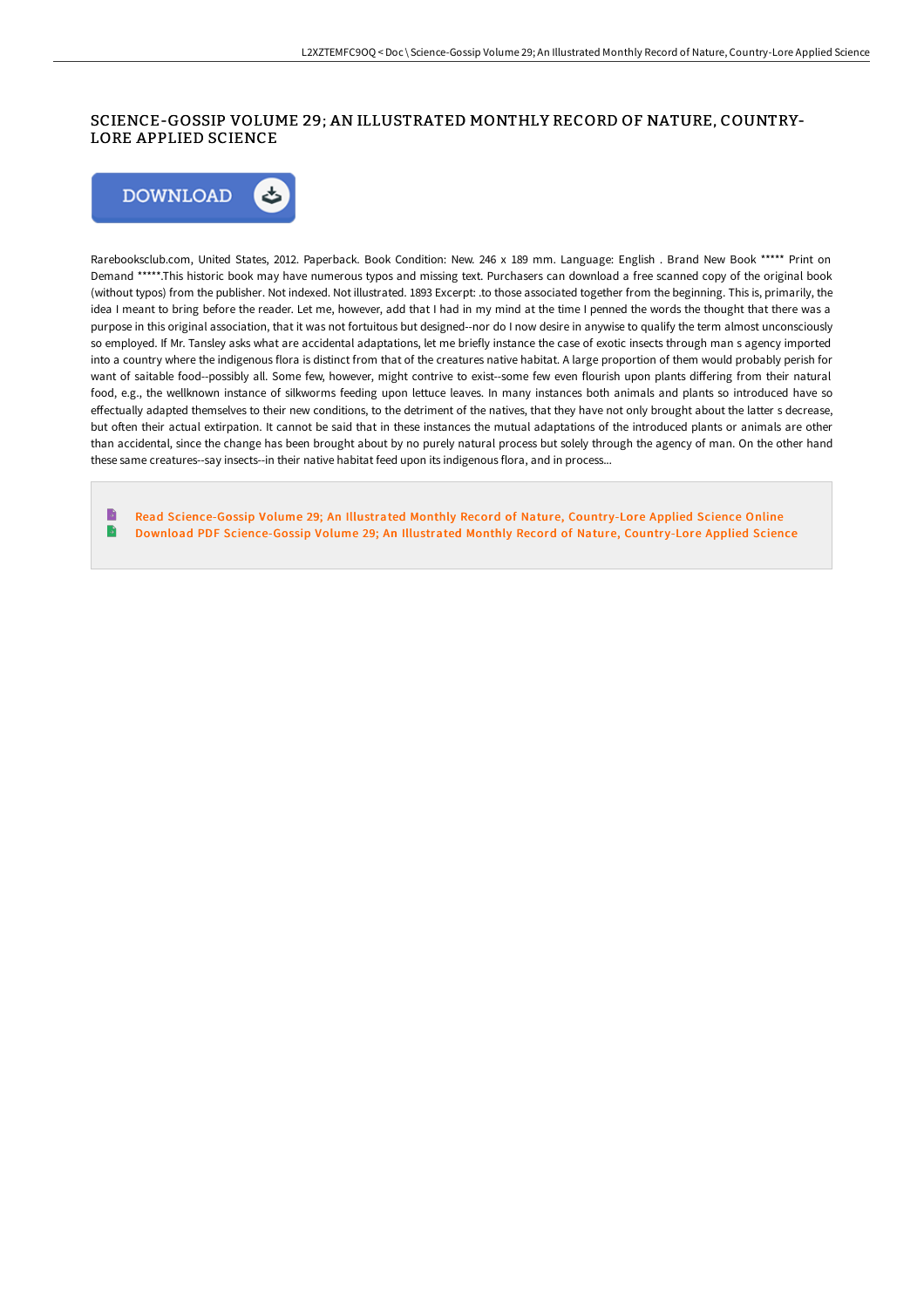## SCIENCE-GOSSIP VOLUME 29; AN ILLUSTRATED MONTHLY RECORD OF NATURE, COUNTRY-LORE APPLIED SCIENCE



Rarebooksclub.com, United States, 2012. Paperback. Book Condition: New. 246 x 189 mm. Language: English . Brand New Book \*\*\*\*\* Print on Demand \*\*\*\*\*.This historic book may have numerous typos and missing text. Purchasers can download a free scanned copy of the original book (without typos) from the publisher. Not indexed. Not illustrated. 1893 Excerpt: .to those associated together from the beginning. This is, primarily, the idea I meant to bring before the reader. Let me, however, add that I had in my mind at the time I penned the words the thought that there was a purpose in this original association, that it was not fortuitous but designed--nor do I now desire in anywise to qualify the term almost unconsciously so employed. If Mr. Tansley asks what are accidental adaptations, let me briefly instance the case of exotic insects through man s agency imported into a country where the indigenous flora is distinct from that of the creatures native habitat. A large proportion of them would probably perish for want of saitable food--possibly all. Some few, however, might contrive to exist--some few even flourish upon plants differing from their natural food, e.g., the wellknown instance of silkworms feeding upon lettuce leaves. In many instances both animals and plants so introduced have so effectually adapted themselves to their new conditions, to the detriment of the natives, that they have not only brought about the latter s decrease, but often their actual extirpation. It cannot be said that in these instances the mutual adaptations of the introduced plants or animals are other than accidental, since the change has been brought about by no purely natural process but solely through the agency of man. On the other hand these same creatures--say insects--in their native habitat feed upon its indigenous flora, and in process...

Read [Science-Gossip](http://techno-pub.tech/science-gossip-volume-29-an-illustrated-monthly-.html) Volume 29; An Illustrated Monthly Record of Nature, Country-Lore Applied Science Online  $\rightarrow$ Download PDF [Science-Gossip](http://techno-pub.tech/science-gossip-volume-29-an-illustrated-monthly-.html) Volume 29; An Illustrated Monthly Record of Nature, Country-Lore Applied Science